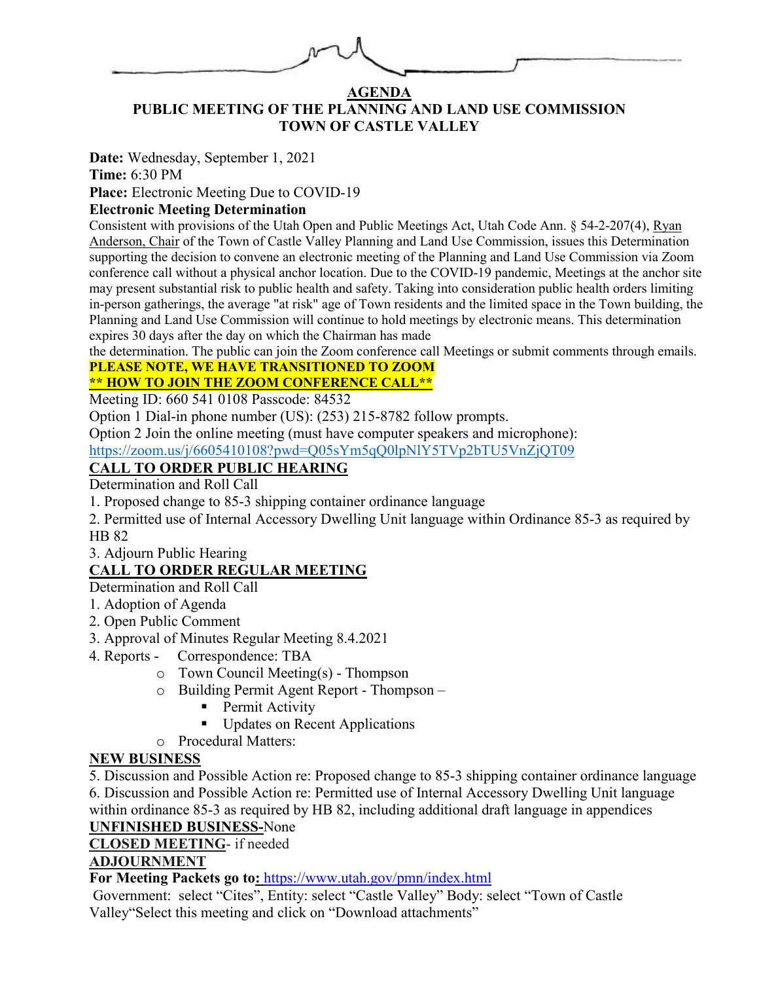

## **AGENDA PUBLIC MEETING OF THE PLANNING AND LAND USE COMMISSION TOWN OF CASTLE VALLEY**

**Date:** Wednesday, September 1, 2021

**Time:** 6:30 PM

**Place:** Electronic Meeting Due to COVID-19

# **Electronic Meeting Determination**

Consistent with provisions of the Utah Open and Public Meetings Act, Utah Code Ann. § 54-2-207(4), Ryan Anderson, Chair of the Town of Castle Valley Planning and Land Use Commission, issues this Determination supporting the decision to convene an electronic meeting of the Planning and Land Use Commission via Zoom conference call without a physical anchor location. Due to the COVID-19 pandemic, Meetings at the anchor site may present substantial risk to public health and safety. Taking into consideration public health orders limiting in-person gatherings, the average "at risk" age of Town residents and the limited space in the Town building, the Planning and Land Use Commission will continue to hold meetings by electronic means. This determination expires 30 days after the day on which the Chairman has made

the determination. The public can join the Zoom conference call Meetings or submit comments through emails.

#### **PLEASE NOTE, WE HAVE TRANSITIONED TO ZOOM \*\* HOW TO JOIN THE ZOOM CONFERENCE CALL\*\***

Meeting ID: 660 541 0108 Passcode: 84532

Option 1 Dial-in phone number (US): (253) 215-8782 follow prompts.

Option 2 Join the online meeting (must have computer speakers and microphone):

<https://zoom.us/j/6605410108?pwd=Q05sYm5qQ0lpNlY5TVp2bTU5VnZjQT09>

# **CALL TO ORDER PUBLIC HEARING**

Determination and Roll Call

1. Proposed change to 85-3 shipping container ordinance language

2. Permitted use of Internal Accessory Dwelling Unit language within Ordinance 85-3 as required by HB 82

3. Adjourn Public Hearing

# **CALL TO ORDER REGULAR MEETING**

Determination and Roll Call

- 1. Adoption of Agenda
- 2. Open Public Comment
- 3. Approval of Minutes Regular Meeting 8.4.2021
- 4. Reports Correspondence: TBA
	- o Town Council Meeting(s) Thompson
	- o Building Permit Agent Report Thompson
		- Permit Activity
		- Updates on Recent Applications
	- o Procedural Matters:

# **NEW BUSINESS**

5. Discussion and Possible Action re: Proposed change to 85-3 shipping container ordinance language 6. Discussion and Possible Action re: Permitted use of Internal Accessory Dwelling Unit language

within ordinance 85-3 as required by HB 82, including additional draft language in appendices **UNFINISHED BUSINESS-**None

# **CLOSED MEETING**- if needed

# **ADJOURNMENT**

**For Meeting Packets go to:** <https://www.utah.gov/pmn/index.html>

Government: select "Cites", Entity: select "Castle Valley" Body: select "Town of Castle Valley"Select this meeting and click on "Download attachments"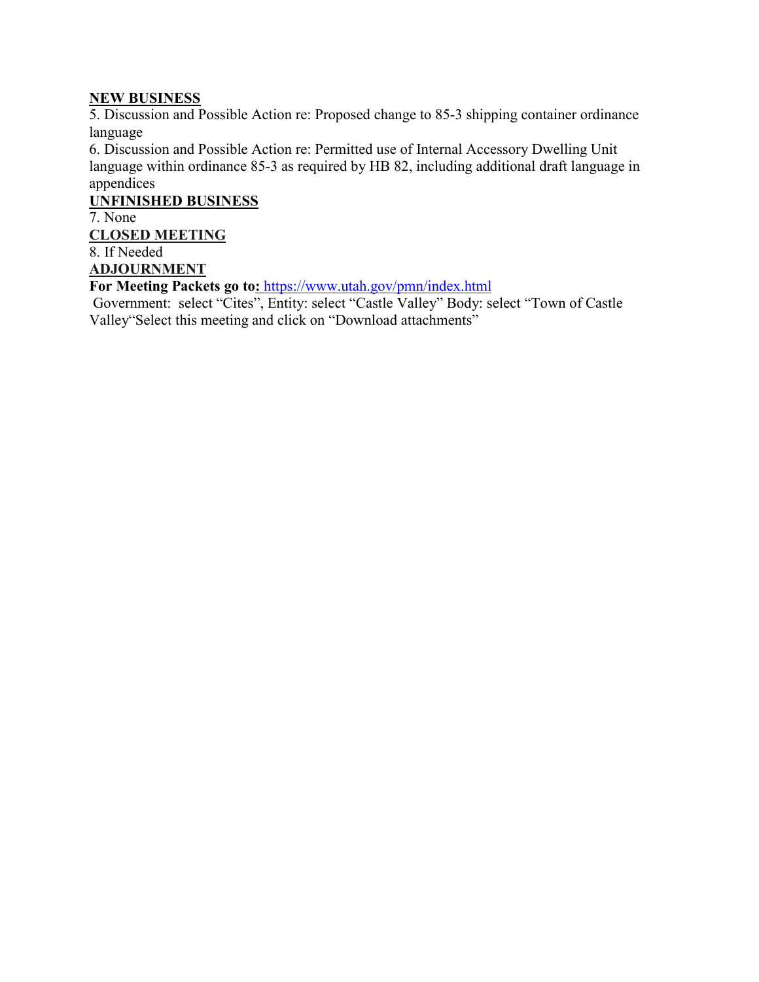## **NEW BUSINESS**

5. Discussion and Possible Action re: Proposed change to 85-3 shipping container ordinance language

6. Discussion and Possible Action re: Permitted use of Internal Accessory Dwelling Unit language within ordinance 85-3 as required by HB 82, including additional draft language in appendices

**UNFINISHED BUSINESS** 

7. None

**CLOSED MEETING** 

8. If Needed

**ADJOURNMENT** 

**For Meeting Packets go to:** <https://www.utah.gov/pmn/index.html>

Government: select "Cites", Entity: select "Castle Valley" Body: select "Town of Castle Valley"Select this meeting and click on "Download attachments"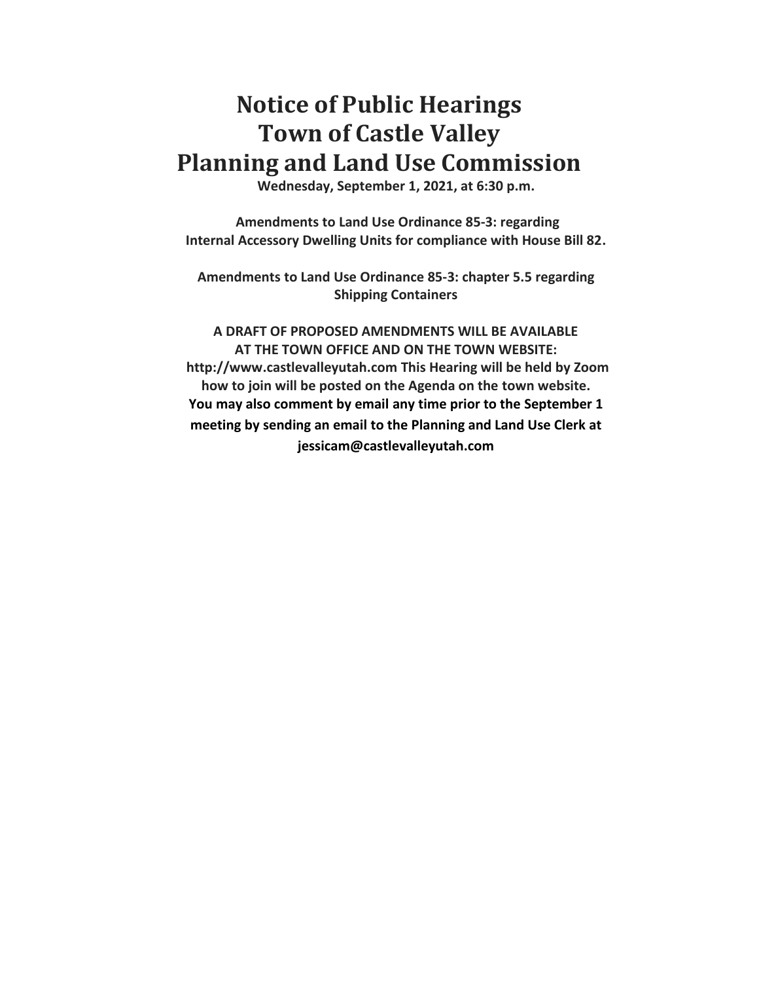# **Notice of Public Hearings Town of Castle Valley Planning and Land Use Commission**

**Wednesday, September 1, 2021, at 6:30 p.m.** 

**Amendments to Land Use Ordinance 85-3: regarding Internal Accessory Dwelling Units for compliance with House Bill 82.**

**Amendments to Land Use Ordinance 85-3: chapter 5.5 regarding Shipping Containers**

**A DRAFT OF PROPOSED AMENDMENTS WILL BE AVAILABLE AT THE TOWN OFFICE AND ON THE TOWN WEBSITE: http://www.castlevalleyutah.com This Hearing will be held by Zoom how to join will be posted on the Agenda on the town website. You may also comment by email any time prior to the September 1 meeting by sending an email to the Planning and Land Use Clerk at jessicam@castlevalleyutah.com**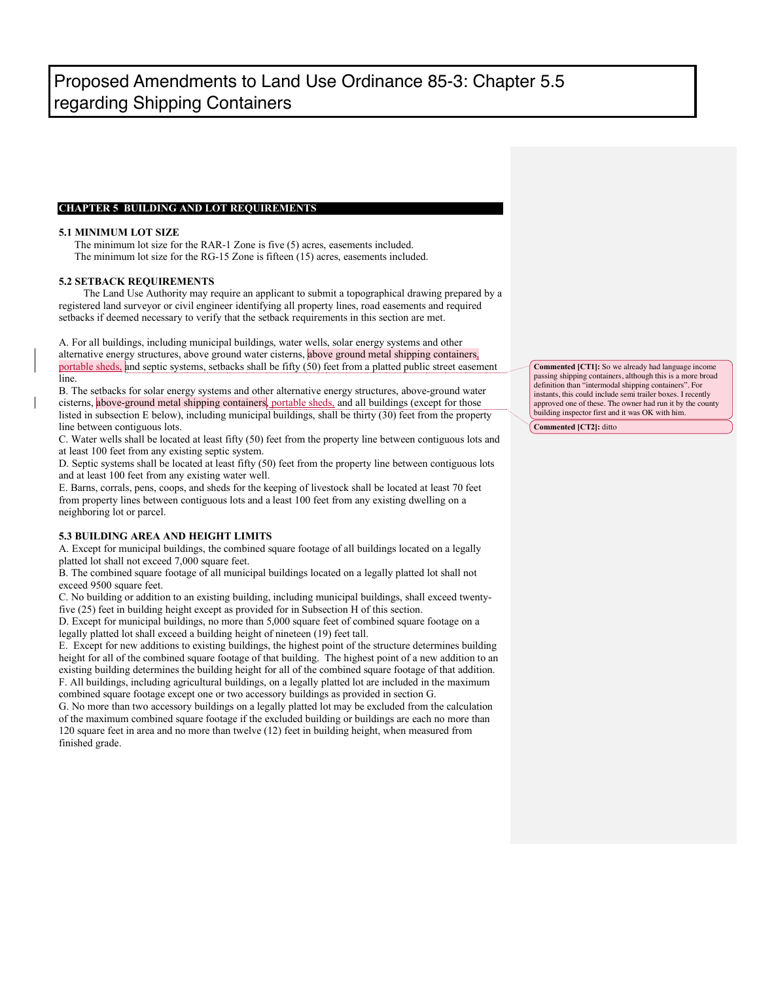#### **CHAPTER 5 BUILDING AND LOT REQUIREMENTS**

#### **5.1 MINIMUM LOT SIZE**

 The minimum lot size for the RAR-1 Zone is five (5) acres, easements included. The minimum lot size for the RG-15 Zone is fifteen (15) acres, easements included.

#### **5.2 SETBACK REQUIREMENTS**

The Land Use Authority may require an applicant to submit a topographical drawing prepared by a registered land surveyor or civil engineer identifying all property lines, road easements and required setbacks if deemed necessary to verify that the setback requirements in this section are met.

A. For all buildings, including municipal buildings, water wells, solar energy systems and other alternative energy structures, above ground water cisterns, above ground metal shipping containers, portable sheds, and septic systems, setbacks shall be fifty (50) feet from a platted public street easement line.

B. The setbacks for solar energy systems and other alternative energy structures, above-ground water cisterns, above-ground metal shipping containers, portable sheds, and all buildings (except for those listed in subsection E below), including municipal buildings, shall be thirty (30) feet from the property line between contiguous lots.

C. Water wells shall be located at least fifty (50) feet from the property line between contiguous lots and at least 100 feet from any existing septic system.

D. Septic systems shall be located at least fifty (50) feet from the property line between contiguous lots and at least 100 feet from any existing water well.

E. Barns, corrals, pens, coops, and sheds for the keeping of livestock shall be located at least 70 feet from property lines between contiguous lots and a least 100 feet from any existing dwelling on a neighboring lot or parcel.

#### **5.3 BUILDING AREA AND HEIGHT LIMITS**

A. Except for municipal buildings, the combined square footage of all buildings located on a legally platted lot shall not exceed 7,000 square feet.

B. The combined square footage of all municipal buildings located on a legally platted lot shall not exceed 9500 square feet.

C. No building or addition to an existing building, including municipal buildings, shall exceed twentyfive (25) feet in building height except as provided for in Subsection H of this section.

D. Except for municipal buildings, no more than 5,000 square feet of combined square footage on a legally platted lot shall exceed a building height of nineteen (19) feet tall.

E. Except for new additions to existing buildings, the highest point of the structure determines building height for all of the combined square footage of that building. The highest point of a new addition to an existing building determines the building height for all of the combined square footage of that addition. F. All buildings, including agricultural buildings, on a legally platted lot are included in the maximum combined square footage except one or two accessory buildings as provided in section G.

G. No more than two accessory buildings on a legally platted lot may be excluded from the calculation of the maximum combined square footage if the excluded building or buildings are each no more than 120 square feet in area and no more than twelve (12) feet in building height, when measured from finished grade.

**Commented [CT1]:** So we already had language income passing shipping containers, although this is a more broad definition than "intermodal shipping containers". For instants, this could include semi trailer boxes. I recently approved one of these. The owner had run it by the county building inspector first and it was OK with him.

**Commented [CT2]:** ditto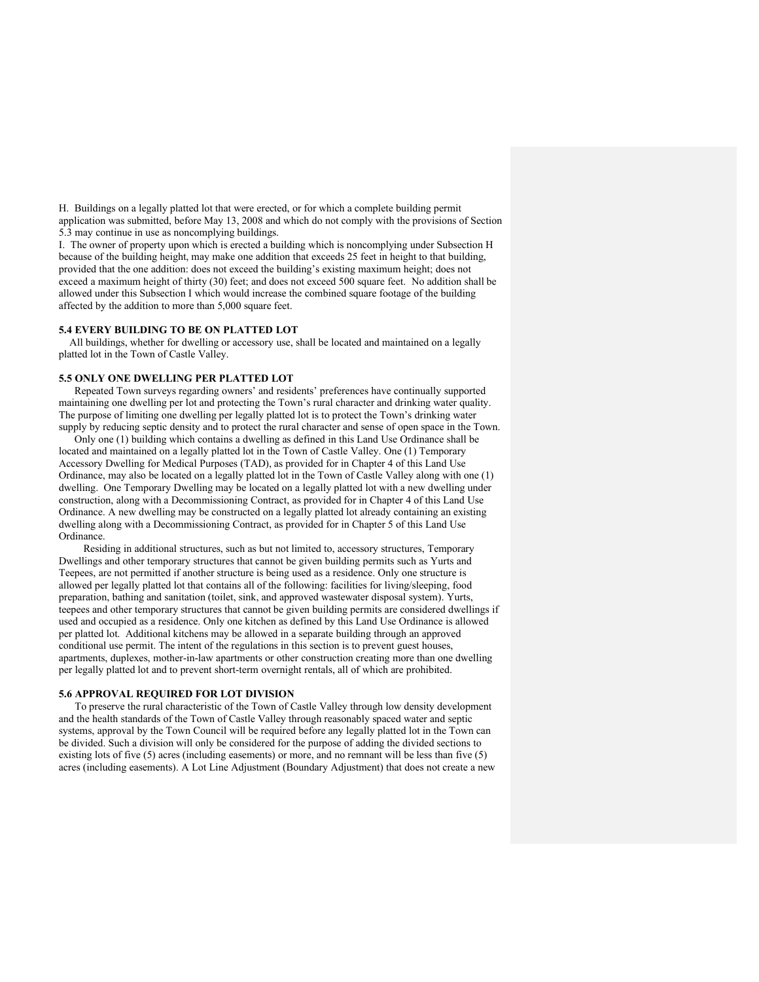H. Buildings on a legally platted lot that were erected, or for which a complete building permit application was submitted, before May 13, 2008 and which do not comply with the provisions of Section 5.3 may continue in use as noncomplying buildings.

I. The owner of property upon which is erected a building which is noncomplying under Subsection H because of the building height, may make one addition that exceeds 25 feet in height to that building, provided that the one addition: does not exceed the building's existing maximum height; does not exceed a maximum height of thirty (30) feet; and does not exceed 500 square feet. No addition shall be allowed under this Subsection I which would increase the combined square footage of the building affected by the addition to more than 5,000 square feet.

#### **5.4 EVERY BUILDING TO BE ON PLATTED LOT**

 All buildings, whether for dwelling or accessory use, shall be located and maintained on a legally platted lot in the Town of Castle Valley.

#### **5.5 ONLY ONE DWELLING PER PLATTED LOT**

Repeated Town surveys regarding owners' and residents' preferences have continually supported maintaining one dwelling per lot and protecting the Town's rural character and drinking water quality. The purpose of limiting one dwelling per legally platted lot is to protect the Town's drinking water supply by reducing septic density and to protect the rural character and sense of open space in the Town.

Only one (1) building which contains a dwelling as defined in this Land Use Ordinance shall be located and maintained on a legally platted lot in the Town of Castle Valley. One (1) Temporary Accessory Dwelling for Medical Purposes (TAD), as provided for in Chapter 4 of this Land Use Ordinance, may also be located on a legally platted lot in the Town of Castle Valley along with one (1) dwelling. One Temporary Dwelling may be located on a legally platted lot with a new dwelling under construction, along with a Decommissioning Contract, as provided for in Chapter 4 of this Land Use Ordinance. A new dwelling may be constructed on a legally platted lot already containing an existing dwelling along with a Decommissioning Contract, as provided for in Chapter 5 of this Land Use Ordinance.

Residing in additional structures, such as but not limited to, accessory structures, Temporary Dwellings and other temporary structures that cannot be given building permits such as Yurts and Teepees, are not permitted if another structure is being used as a residence. Only one structure is allowed per legally platted lot that contains all of the following: facilities for living/sleeping, food preparation, bathing and sanitation (toilet, sink, and approved wastewater disposal system). Yurts, teepees and other temporary structures that cannot be given building permits are considered dwellings if used and occupied as a residence. Only one kitchen as defined by this Land Use Ordinance is allowed per platted lot. Additional kitchens may be allowed in a separate building through an approved conditional use permit. The intent of the regulations in this section is to prevent guest houses, apartments, duplexes, mother-in-law apartments or other construction creating more than one dwelling per legally platted lot and to prevent short-term overnight rentals, all of which are prohibited.

#### **5.6 APPROVAL REQUIRED FOR LOT DIVISION**

 To preserve the rural characteristic of the Town of Castle Valley through low density development and the health standards of the Town of Castle Valley through reasonably spaced water and septic systems, approval by the Town Council will be required before any legally platted lot in the Town can be divided. Such a division will only be considered for the purpose of adding the divided sections to existing lots of five (5) acres (including easements) or more, and no remnant will be less than five (5) acres (including easements). A Lot Line Adjustment (Boundary Adjustment) that does not create a new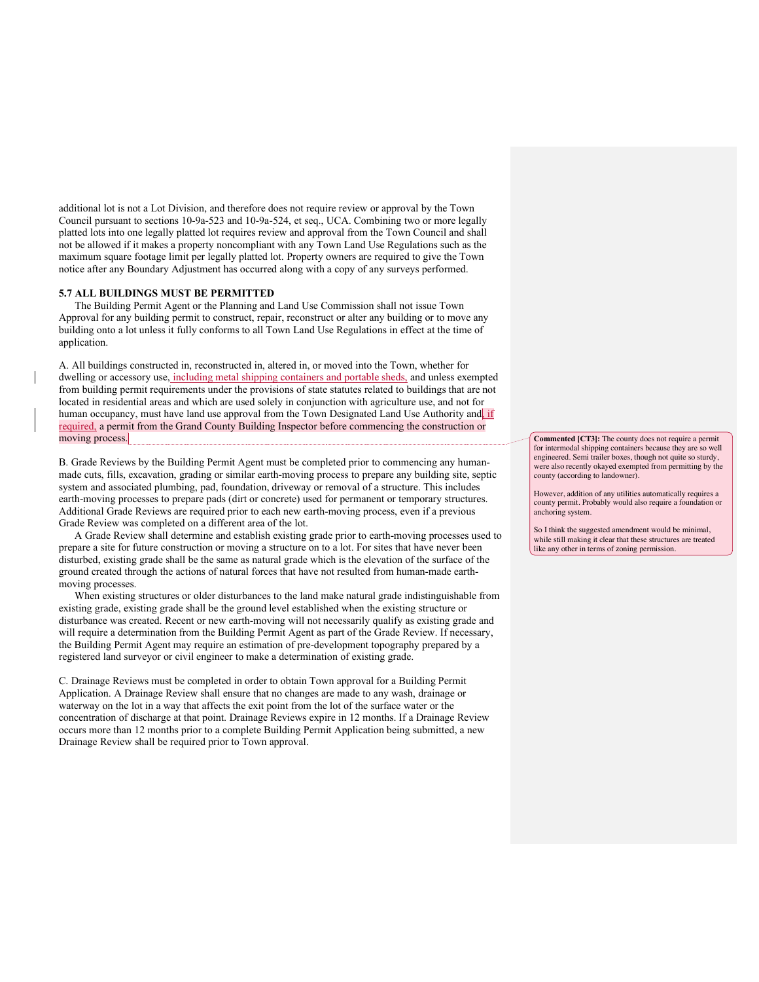additional lot is not a Lot Division, and therefore does not require review or approval by the Town Council pursuant to sections 10-9a-523 and 10-9a-524, et seq., UCA. Combining two or more legally platted lots into one legally platted lot requires review and approval from the Town Council and shall not be allowed if it makes a property noncompliant with any Town Land Use Regulations such as the maximum square footage limit per legally platted lot. Property owners are required to give the Town notice after any Boundary Adjustment has occurred along with a copy of any surveys performed.

#### **5.7 ALL BUILDINGS MUST BE PERMITTED**

 The Building Permit Agent or the Planning and Land Use Commission shall not issue Town Approval for any building permit to construct, repair, reconstruct or alter any building or to move any building onto a lot unless it fully conforms to all Town Land Use Regulations in effect at the time of application.

A. All buildings constructed in, reconstructed in, altered in, or moved into the Town, whether for dwelling or accessory use, including metal shipping containers and portable sheds, and unless exempted from building permit requirements under the provisions of state statutes related to buildings that are not located in residential areas and which are used solely in conjunction with agriculture use, and not for human occupancy, must have land use approval from the Town Designated Land Use Authority and if required, a permit from the Grand County Building Inspector before commencing the construction or moving process.

B. Grade Reviews by the Building Permit Agent must be completed prior to commencing any humanmade cuts, fills, excavation, grading or similar earth-moving process to prepare any building site, septic system and associated plumbing, pad, foundation, driveway or removal of a structure. This includes earth-moving processes to prepare pads (dirt or concrete) used for permanent or temporary structures. Additional Grade Reviews are required prior to each new earth-moving process, even if a previous Grade Review was completed on a different area of the lot.

A Grade Review shall determine and establish existing grade prior to earth-moving processes used to prepare a site for future construction or moving a structure on to a lot. For sites that have never been disturbed, existing grade shall be the same as natural grade which is the elevation of the surface of the ground created through the actions of natural forces that have not resulted from human-made earthmoving processes.

When existing structures or older disturbances to the land make natural grade indistinguishable from existing grade, existing grade shall be the ground level established when the existing structure or disturbance was created. Recent or new earth-moving will not necessarily qualify as existing grade and will require a determination from the Building Permit Agent as part of the Grade Review. If necessary, the Building Permit Agent may require an estimation of pre-development topography prepared by a registered land surveyor or civil engineer to make a determination of existing grade.

C. Drainage Reviews must be completed in order to obtain Town approval for a Building Permit Application. A Drainage Review shall ensure that no changes are made to any wash, drainage or waterway on the lot in a way that affects the exit point from the lot of the surface water or the concentration of discharge at that point. Drainage Reviews expire in 12 months. If a Drainage Review occurs more than 12 months prior to a complete Building Permit Application being submitted, a new Drainage Review shall be required prior to Town approval.

**Commented [CT3]:** The county does not require a permit for intermodal shipping containers because they are so well engineered. Semi trailer boxes, though not quite so sturdy, were also recently okayed exempted from permitting by the county (according to landowner).

However, addition of any utilities automatically requires a county permit. Probably would also require a foundation or anchoring system.

So I think the suggested amendment would be minimal, while still making it clear that these structures are treated like any other in terms of zoning permission.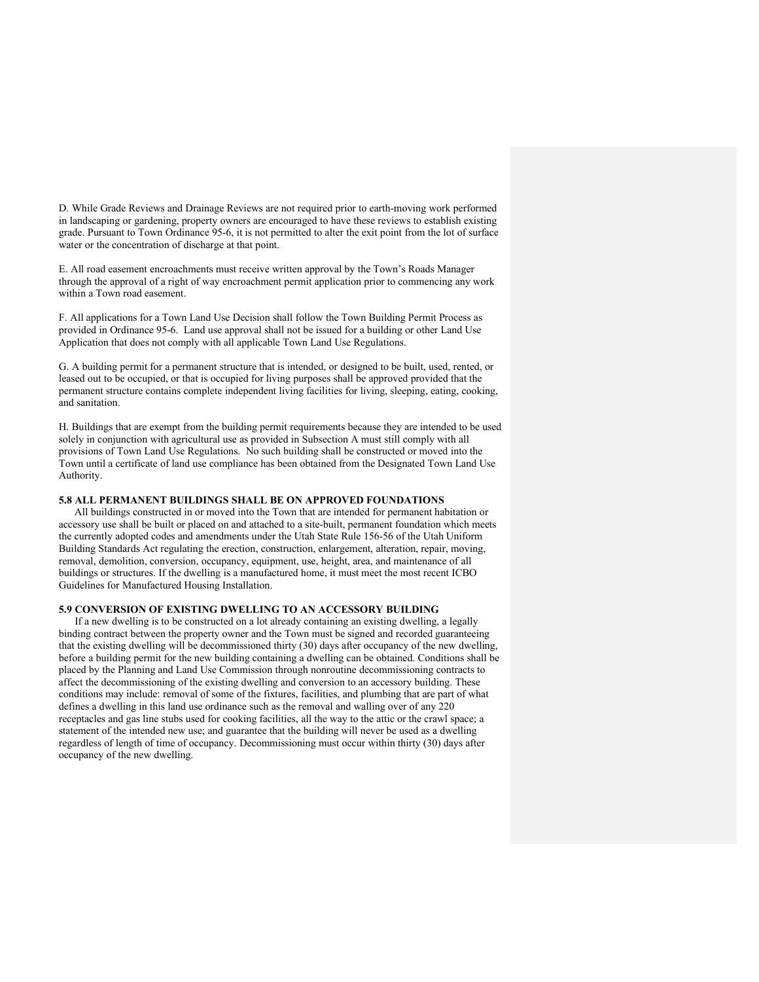D. While Grade Reviews and Drainage Reviews are not required prior to earth-moving work performed in landscaping or gardening, property owners are encouraged to have these reviews to establish existing grade. Pursuant to Town Ordinance 95-6, it is not permitted to alter the exit point from the lot of surface water or the concentration of discharge at that point.

E. All road easement encroachments must receive written approval by the Town's Roads Manager through the approval of a right of way encroachment permit application prior to commencing any work within a Town road easement.

F. All applications for a Town Land Use Decision shall follow the Town Building Permit Process as provided in Ordinance 95-6. Land use approval shall not be issued for a building or other Land Use Application that does not comply with all applicable Town Land Use Regulations.

G. A building permit for a permanent structure that is intended, or designed to be built, used, rented, or leased out to be occupied, or that is occupied for living purposes shall be approved provided that the permanent structure contains complete independent living facilities for living, sleeping, eating, cooking, and sanitation.

H. Buildings that are exempt from the building permit requirements because they are intended to be used solely in conjunction with agricultural use as provided in Subsection A must still comply with all provisions of Town Land Use Regulations. No such building shall be constructed or moved into the Town until a certificate of land use compliance has been obtained from the Designated Town Land Use Authority.

#### **5.8 ALL PERMANENT BUILDINGS SHALL BE ON APPROVED FOUNDATIONS**

All buildings constructed in or moved into the Town that are intended for permanent habitation or accessory use shall be built or placed on and attached to a site-built, permanent foundation which meets the currently adopted codes and amendments under the Utah State Rule 156-56 of the Utah Uniform Building Standards Act regulating the erection, construction, enlargement, alteration, repair, moving, removal, demolition, conversion, occupancy, equipment, use, height, area, and maintenance of all buildings or structures. If the dwelling is a manufactured home, it must meet the most recent ICBO Guidelines for Manufactured Housing Installation.

#### **5.9 CONVERSION OF EXISTING DWELLING TO AN ACCESSORY BUILDING**

 If a new dwelling is to be constructed on a lot already containing an existing dwelling, a legally binding contract between the property owner and the Town must be signed and recorded guaranteeing that the existing dwelling will be decommissioned thirty (30) days after occupancy of the new dwelling, before a building permit for the new building containing a dwelling can be obtained. Conditions shall be placed by the Planning and Land Use Commission through nonroutine decommissioning contracts to affect the decommissioning of the existing dwelling and conversion to an accessory building. These conditions may include: removal of some of the fixtures, facilities, and plumbing that are part of what defines a dwelling in this land use ordinance such as the removal and walling over of any 220 receptacles and gas line stubs used for cooking facilities, all the way to the attic or the crawl space; a statement of the intended new use; and guarantee that the building will never be used as a dwelling regardless of length of time of occupancy. Decommissioning must occur within thirty (30) days after occupancy of the new dwelling.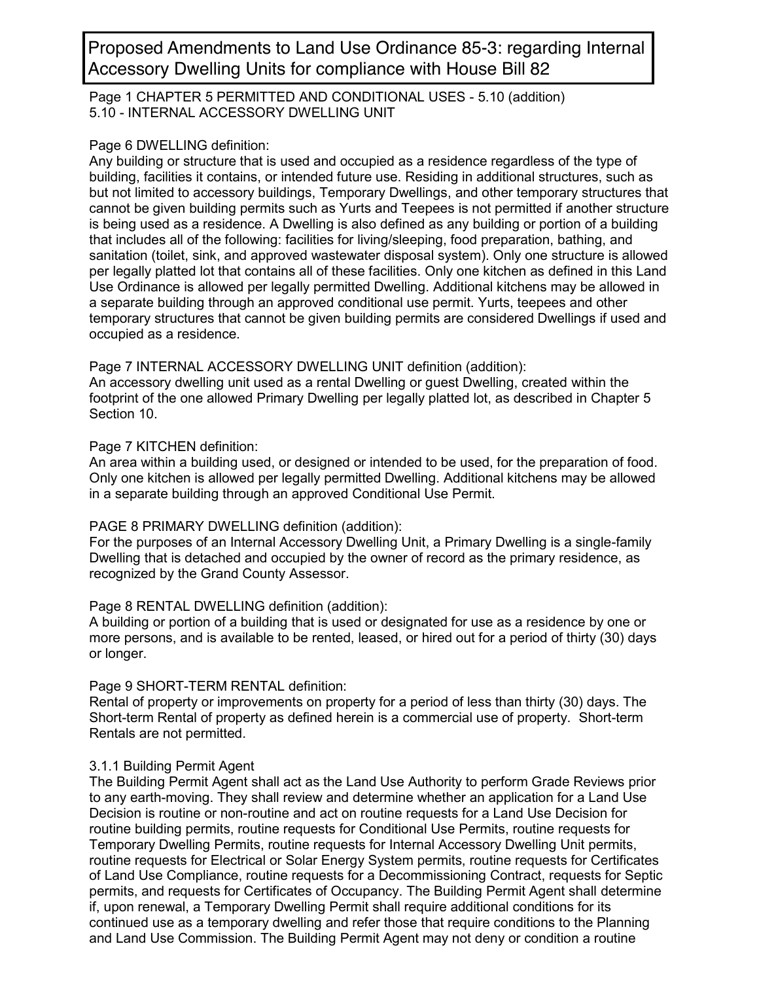Accessory Dwelling Units for compliance with House Bill 82

Page 1 CHAPTER 5 PERMITTED AND CONDITIONAL USES - 5.10 (addition) 5.10 - INTERNAL ACCESSORY DWELLING UNIT

#### Page 6 DWELLING definition:

Any building or structure that is used and occupied as a residence regardless of the type of building, facilities it contains, or intended future use. Residing in additional structures, such as but not limited to accessory buildings, Temporary Dwellings, and other temporary structures that cannot be given building permits such as Yurts and Teepees is not permitted if another structure is being used as a residence. A Dwelling is also defined as any building or portion of a building that includes all of the following: facilities for living/sleeping, food preparation, bathing, and sanitation (toilet, sink, and approved wastewater disposal system). Only one structure is allowed per legally platted lot that contains all of these facilities. Only one kitchen as defined in this Land Use Ordinance is allowed per legally permitted Dwelling. Additional kitchens may be allowed in a separate building through an approved conditional use permit. Yurts, teepees and other temporary structures that cannot be given building permits are considered Dwellings if used and occupied as a residence. Proposed Amendments to Land Use Orchinance 85-3: regarding Internal Permit Agent may not deny or conditions in the Building Permit Agent may not deny or conditions a routine Proposed and the Building Permit Agent may not d

#### Page 7 INTERNAL ACCESSORY DWELLING UNIT definition (addition):

An accessory dwelling unit used as a rental Dwelling or guest Dwelling, created within the footprint of the one allowed Primary Dwelling per legally platted lot, as described in Chapter 5 Section 10.

## Page 7 KITCHEN definition:

An area within a building used, or designed or intended to be used, for the preparation of food. Only one kitchen is allowed per legally permitted Dwelling. Additional kitchens may be allowed in a separate building through an approved Conditional Use Permit.

## PAGE 8 PRIMARY DWELLING definition (addition):

For the purposes of an Internal Accessory Dwelling Unit, a Primary Dwelling is a single-family Dwelling that is detached and occupied by the owner of record as the primary residence, as recognized by the Grand County Assessor.

## Page 8 RENTAL DWELLING definition (addition):

A building or portion of a building that is used or designated for use as a residence by one or more persons, and is available to be rented, leased, or hired out for a period of thirty (30) days or longer.

## Page 9 SHORT-TERM RENTAL definition:

Rental of property or improvements on property for a period of less than thirty (30) days. The Short-term Rental of property as defined herein is a commercial use of property. Short-term Rentals are not permitted.

## 3.1.1 Building Permit Agent

The Building Permit Agent shall act as the Land Use Authority to perform Grade Reviews prior to any earth-moving. They shall review and determine whether an application for a Land Use Decision is routine or non-routine and act on routine requests for a Land Use Decision for routine building permits, routine requests for Conditional Use Permits, routine requests for Temporary Dwelling Permits, routine requests for Internal Accessory Dwelling Unit permits, routine requests for Electrical or Solar Energy System permits, routine requests for Certificates of Land Use Compliance, routine requests for a Decommissioning Contract, requests for Septic permits, and requests for Certificates of Occupancy. The Building Permit Agent shall determine if, upon renewal, a Temporary Dwelling Permit shall require additional conditions for its continued use as a temporary dwelling and refer those that require conditions to the Planning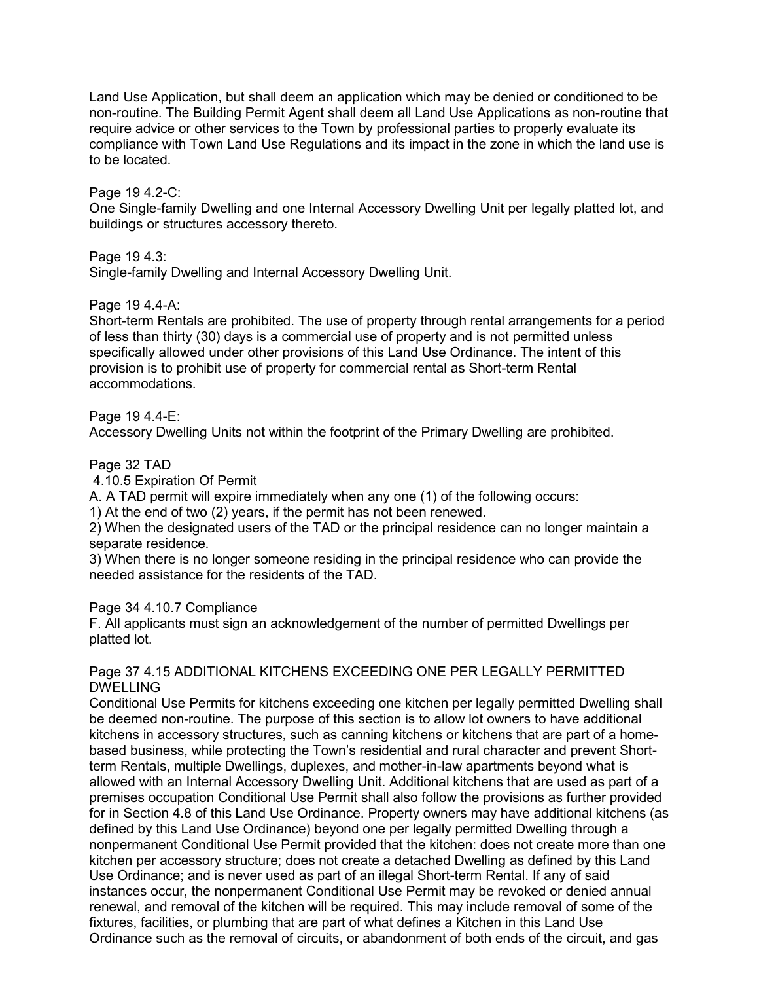Land Use Application, but shall deem an application which may be denied or conditioned to be non-routine. The Building Permit Agent shall deem all Land Use Applications as non-routine that require advice or other services to the Town by professional parties to properly evaluate its compliance with Town Land Use Regulations and its impact in the zone in which the land use is to be located.

#### Page 19 4.2-C:

One Single-family Dwelling and one Internal Accessory Dwelling Unit per legally platted lot, and buildings or structures accessory thereto.

Page 19 4.3:

Single-family Dwelling and Internal Accessory Dwelling Unit.

Page 19 4.4-A:

Short-term Rentals are prohibited. The use of property through rental arrangements for a period of less than thirty (30) days is a commercial use of property and is not permitted unless specifically allowed under other provisions of this Land Use Ordinance. The intent of this provision is to prohibit use of property for commercial rental as Short-term Rental accommodations.

Page 19 4.4-E:

Accessory Dwelling Units not within the footprint of the Primary Dwelling are prohibited.

Page 32 TAD

4.10.5 Expiration Of Permit

A. A TAD permit will expire immediately when any one (1) of the following occurs:

1) At the end of two (2) years, if the permit has not been renewed.

2) When the designated users of the TAD or the principal residence can no longer maintain a separate residence.

3) When there is no longer someone residing in the principal residence who can provide the needed assistance for the residents of the TAD.

Page 34 4.10.7 Compliance

F. All applicants must sign an acknowledgement of the number of permitted Dwellings per platted lot.

#### Page 37 4.15 ADDITIONAL KITCHENS EXCEEDING ONE PER LEGALLY PERMITTED DWELLING

Conditional Use Permits for kitchens exceeding one kitchen per legally permitted Dwelling shall be deemed non-routine. The purpose of this section is to allow lot owners to have additional kitchens in accessory structures, such as canning kitchens or kitchens that are part of a homebased business, while protecting the Town's residential and rural character and prevent Shortterm Rentals, multiple Dwellings, duplexes, and mother-in-law apartments beyond what is allowed with an Internal Accessory Dwelling Unit. Additional kitchens that are used as part of a premises occupation Conditional Use Permit shall also follow the provisions as further provided for in Section 4.8 of this Land Use Ordinance. Property owners may have additional kitchens (as defined by this Land Use Ordinance) beyond one per legally permitted Dwelling through a nonpermanent Conditional Use Permit provided that the kitchen: does not create more than one kitchen per accessory structure; does not create a detached Dwelling as defined by this Land Use Ordinance; and is never used as part of an illegal Short-term Rental. If any of said instances occur, the nonpermanent Conditional Use Permit may be revoked or denied annual renewal, and removal of the kitchen will be required. This may include removal of some of the fixtures, facilities, or plumbing that are part of what defines a Kitchen in this Land Use Ordinance such as the removal of circuits, or abandonment of both ends of the circuit, and gas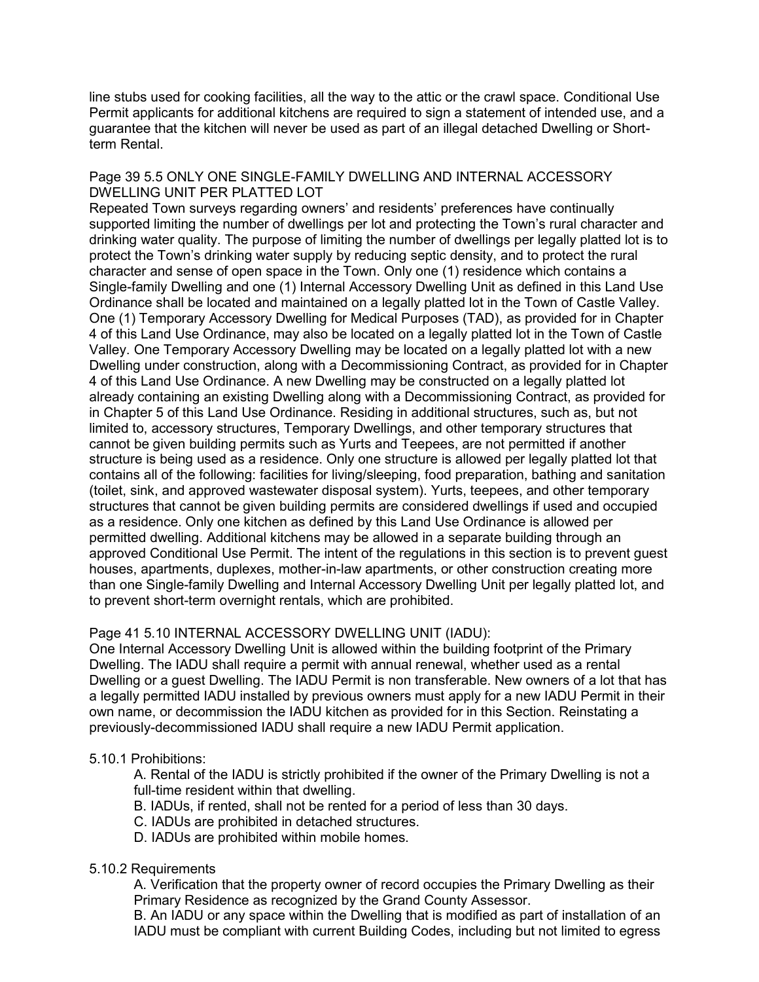line stubs used for cooking facilities, all the way to the attic or the crawl space. Conditional Use Permit applicants for additional kitchens are required to sign a statement of intended use, and a guarantee that the kitchen will never be used as part of an illegal detached Dwelling or Shortterm Rental.

#### Page 39 5.5 ONLY ONE SINGLE-FAMILY DWELLING AND INTERNAL ACCESSORY DWELLING UNIT PER PLATTED LOT

Repeated Town surveys regarding owners' and residents' preferences have continually supported limiting the number of dwellings per lot and protecting the Town's rural character and drinking water quality. The purpose of limiting the number of dwellings per legally platted lot is to protect the Town's drinking water supply by reducing septic density, and to protect the rural character and sense of open space in the Town. Only one (1) residence which contains a Single-family Dwelling and one (1) Internal Accessory Dwelling Unit as defined in this Land Use Ordinance shall be located and maintained on a legally platted lot in the Town of Castle Valley. One (1) Temporary Accessory Dwelling for Medical Purposes (TAD), as provided for in Chapter 4 of this Land Use Ordinance, may also be located on a legally platted lot in the Town of Castle Valley. One Temporary Accessory Dwelling may be located on a legally platted lot with a new Dwelling under construction, along with a Decommissioning Contract, as provided for in Chapter 4 of this Land Use Ordinance. A new Dwelling may be constructed on a legally platted lot already containing an existing Dwelling along with a Decommissioning Contract, as provided for in Chapter 5 of this Land Use Ordinance. Residing in additional structures, such as, but not limited to, accessory structures, Temporary Dwellings, and other temporary structures that cannot be given building permits such as Yurts and Teepees, are not permitted if another structure is being used as a residence. Only one structure is allowed per legally platted lot that contains all of the following: facilities for living/sleeping, food preparation, bathing and sanitation (toilet, sink, and approved wastewater disposal system). Yurts, teepees, and other temporary structures that cannot be given building permits are considered dwellings if used and occupied as a residence. Only one kitchen as defined by this Land Use Ordinance is allowed per permitted dwelling. Additional kitchens may be allowed in a separate building through an approved Conditional Use Permit. The intent of the regulations in this section is to prevent guest houses, apartments, duplexes, mother-in-law apartments, or other construction creating more than one Single-family Dwelling and Internal Accessory Dwelling Unit per legally platted lot, and to prevent short-term overnight rentals, which are prohibited.

## Page 41 5.10 INTERNAL ACCESSORY DWELLING UNIT (IADU):

One Internal Accessory Dwelling Unit is allowed within the building footprint of the Primary Dwelling. The IADU shall require a permit with annual renewal, whether used as a rental Dwelling or a guest Dwelling. The IADU Permit is non transferable. New owners of a lot that has a legally permitted IADU installed by previous owners must apply for a new IADU Permit in their own name, or decommission the IADU kitchen as provided for in this Section. Reinstating a previously-decommissioned IADU shall require a new IADU Permit application.

## 5.10.1 Prohibitions:

A. Rental of the IADU is strictly prohibited if the owner of the Primary Dwelling is not a full-time resident within that dwelling.

- B. IADUs, if rented, shall not be rented for a period of less than 30 days.
- C. IADUs are prohibited in detached structures.
- D. IADUs are prohibited within mobile homes.

#### 5.10.2 Requirements

A. Verification that the property owner of record occupies the Primary Dwelling as their Primary Residence as recognized by the Grand County Assessor.

B. An IADU or any space within the Dwelling that is modified as part of installation of an IADU must be compliant with current Building Codes, including but not limited to egress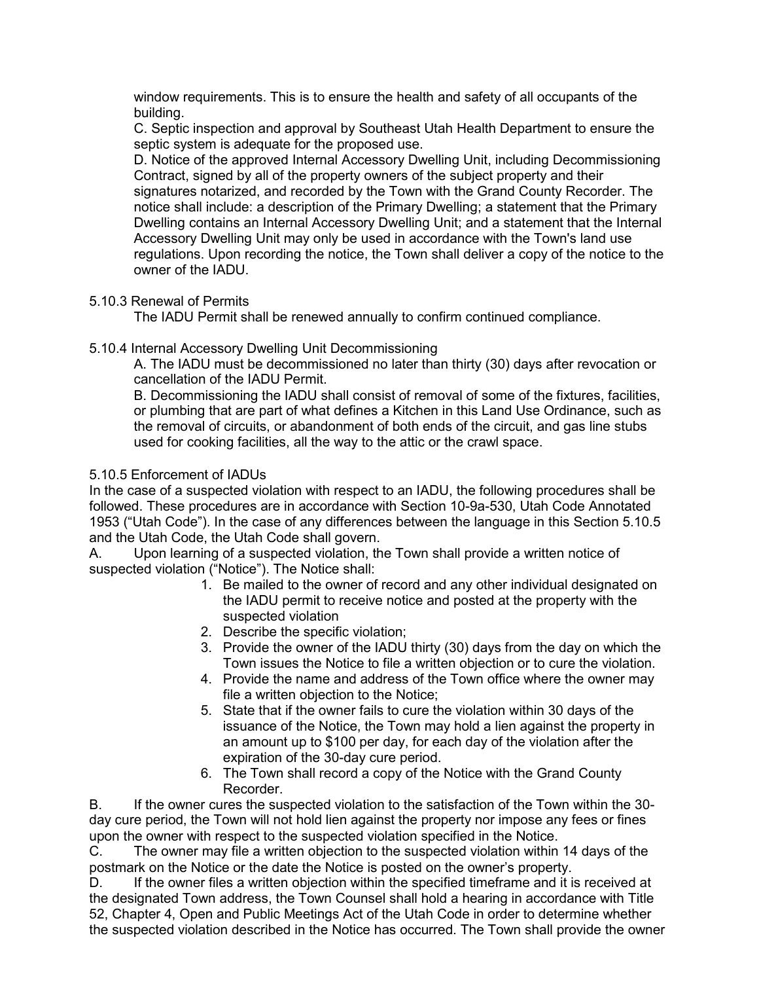window requirements. This is to ensure the health and safety of all occupants of the building.

C. Septic inspection and approval by Southeast Utah Health Department to ensure the septic system is adequate for the proposed use.

D. Notice of the approved Internal Accessory Dwelling Unit, including Decommissioning Contract, signed by all of the property owners of the subject property and their signatures notarized, and recorded by the Town with the Grand County Recorder. The notice shall include: a description of the Primary Dwelling; a statement that the Primary Dwelling contains an Internal Accessory Dwelling Unit; and a statement that the Internal Accessory Dwelling Unit may only be used in accordance with the Town's land use regulations. Upon recording the notice, the Town shall deliver a copy of the notice to the owner of the IADU.

## 5.10.3 Renewal of Permits

The IADU Permit shall be renewed annually to confirm continued compliance.

5.10.4 Internal Accessory Dwelling Unit Decommissioning

A. The IADU must be decommissioned no later than thirty (30) days after revocation or cancellation of the IADU Permit.

B. Decommissioning the IADU shall consist of removal of some of the fixtures, facilities, or plumbing that are part of what defines a Kitchen in this Land Use Ordinance, such as the removal of circuits, or abandonment of both ends of the circuit, and gas line stubs used for cooking facilities, all the way to the attic or the crawl space.

## 5.10.5 Enforcement of IADUs

In the case of a suspected violation with respect to an IADU, the following procedures shall be followed. These procedures are in accordance with Section 10-9a-530, Utah Code Annotated 1953 ("Utah Code"). In the case of any differences between the language in this Section 5.10.5 and the Utah Code, the Utah Code shall govern.

A. Upon learning of a suspected violation, the Town shall provide a written notice of suspected violation ("Notice"). The Notice shall:

- 1. Be mailed to the owner of record and any other individual designated on the IADU permit to receive notice and posted at the property with the suspected violation
- 2. Describe the specific violation;
- 3. Provide the owner of the IADU thirty (30) days from the day on which the Town issues the Notice to file a written objection or to cure the violation.
- 4. Provide the name and address of the Town office where the owner may file a written objection to the Notice;
- 5. State that if the owner fails to cure the violation within 30 days of the issuance of the Notice, the Town may hold a lien against the property in an amount up to \$100 per day, for each day of the violation after the expiration of the 30-day cure period.
- 6. The Town shall record a copy of the Notice with the Grand County Recorder.

B. If the owner cures the suspected violation to the satisfaction of the Town within the 30 day cure period, the Town will not hold lien against the property nor impose any fees or fines upon the owner with respect to the suspected violation specified in the Notice.

C. The owner may file a written objection to the suspected violation within 14 days of the postmark on the Notice or the date the Notice is posted on the owner's property.

D. If the owner files a written objection within the specified timeframe and it is received at the designated Town address, the Town Counsel shall hold a hearing in accordance with Title 52, Chapter 4, Open and Public Meetings Act of the Utah Code in order to determine whether the suspected violation described in the Notice has occurred. The Town shall provide the owner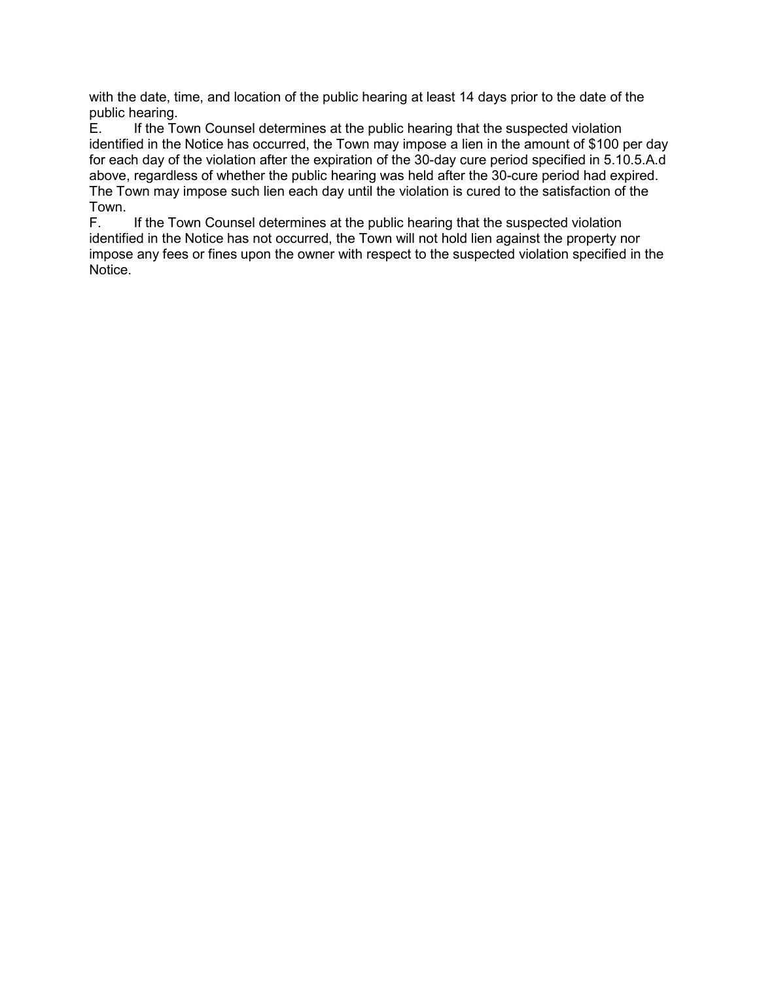with the date, time, and location of the public hearing at least 14 days prior to the date of the public hearing.

E. If the Town Counsel determines at the public hearing that the suspected violation identified in the Notice has occurred, the Town may impose a lien in the amount of \$100 per day for each day of the violation after the expiration of the 30-day cure period specified in 5.10.5.A.d above, regardless of whether the public hearing was held after the 30-cure period had expired. The Town may impose such lien each day until the violation is cured to the satisfaction of the Town.

F. If the Town Counsel determines at the public hearing that the suspected violation identified in the Notice has not occurred, the Town will not hold lien against the property nor impose any fees or fines upon the owner with respect to the suspected violation specified in the Notice.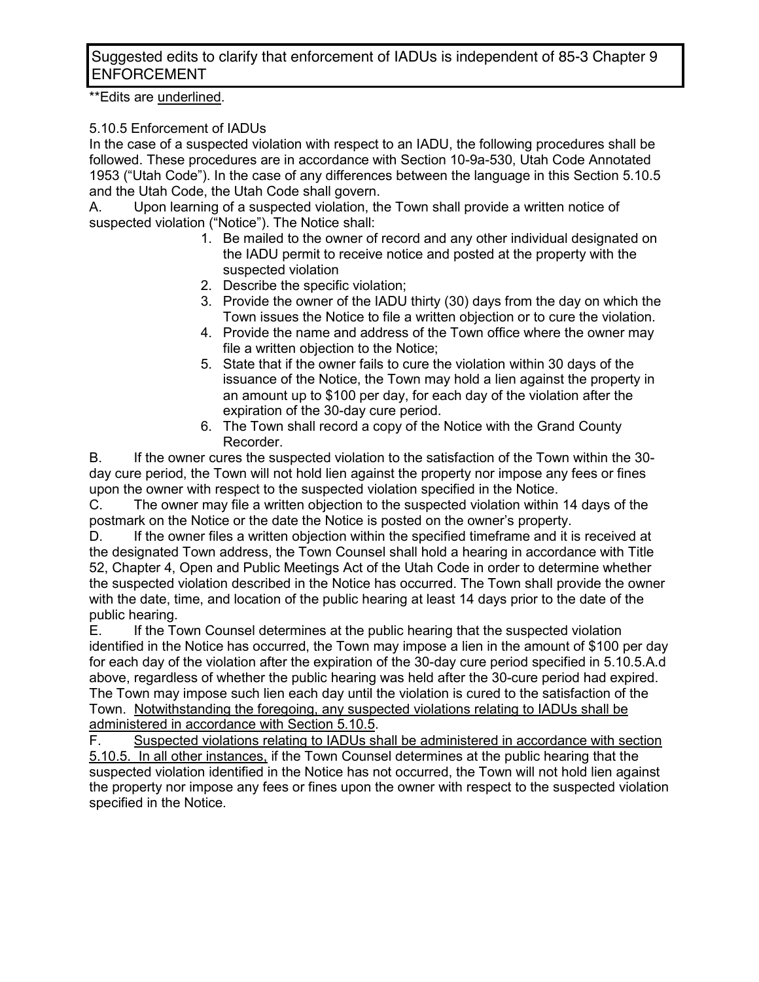Suggested edits to clarify that enforcement of IADUs is independent of 85-3 Chapter 9 ENFORCEMENT

\*\*Edits are underlined.

## 5.10.5 Enforcement of IADUs

In the case of a suspected violation with respect to an IADU, the following procedures shall be followed. These procedures are in accordance with Section 10-9a-530, Utah Code Annotated 1953 ("Utah Code"). In the case of any differences between the language in this Section 5.10.5 and the Utah Code, the Utah Code shall govern.

A. Upon learning of a suspected violation, the Town shall provide a written notice of suspected violation ("Notice"). The Notice shall:

- 1. Be mailed to the owner of record and any other individual designated on the IADU permit to receive notice and posted at the property with the suspected violation
- 2. Describe the specific violation;
- 3. Provide the owner of the IADU thirty (30) days from the day on which the Town issues the Notice to file a written objection or to cure the violation.
- 4. Provide the name and address of the Town office where the owner may file a written objection to the Notice;
- 5. State that if the owner fails to cure the violation within 30 days of the issuance of the Notice, the Town may hold a lien against the property in an amount up to \$100 per day, for each day of the violation after the expiration of the 30-day cure period.
- 6. The Town shall record a copy of the Notice with the Grand County Recorder.

B. If the owner cures the suspected violation to the satisfaction of the Town within the 30 day cure period, the Town will not hold lien against the property nor impose any fees or fines upon the owner with respect to the suspected violation specified in the Notice.

C. The owner may file a written objection to the suspected violation within 14 days of the postmark on the Notice or the date the Notice is posted on the owner's property.

D. If the owner files a written objection within the specified timeframe and it is received at the designated Town address, the Town Counsel shall hold a hearing in accordance with Title 52, Chapter 4, Open and Public Meetings Act of the Utah Code in order to determine whether the suspected violation described in the Notice has occurred. The Town shall provide the owner with the date, time, and location of the public hearing at least 14 days prior to the date of the public hearing.

E. If the Town Counsel determines at the public hearing that the suspected violation identified in the Notice has occurred, the Town may impose a lien in the amount of \$100 per day for each day of the violation after the expiration of the 30-day cure period specified in 5.10.5.A.d above, regardless of whether the public hearing was held after the 30-cure period had expired. The Town may impose such lien each day until the violation is cured to the satisfaction of the Town. Notwithstanding the foregoing, any suspected violations relating to IADUs shall be administered in accordance with Section 5.10.5.

F. Suspected violations relating to IADUs shall be administered in accordance with section 5.10.5. In all other instances, if the Town Counsel determines at the public hearing that the suspected violation identified in the Notice has not occurred, the Town will not hold lien against the property nor impose any fees or fines upon the owner with respect to the suspected violation specified in the Notice.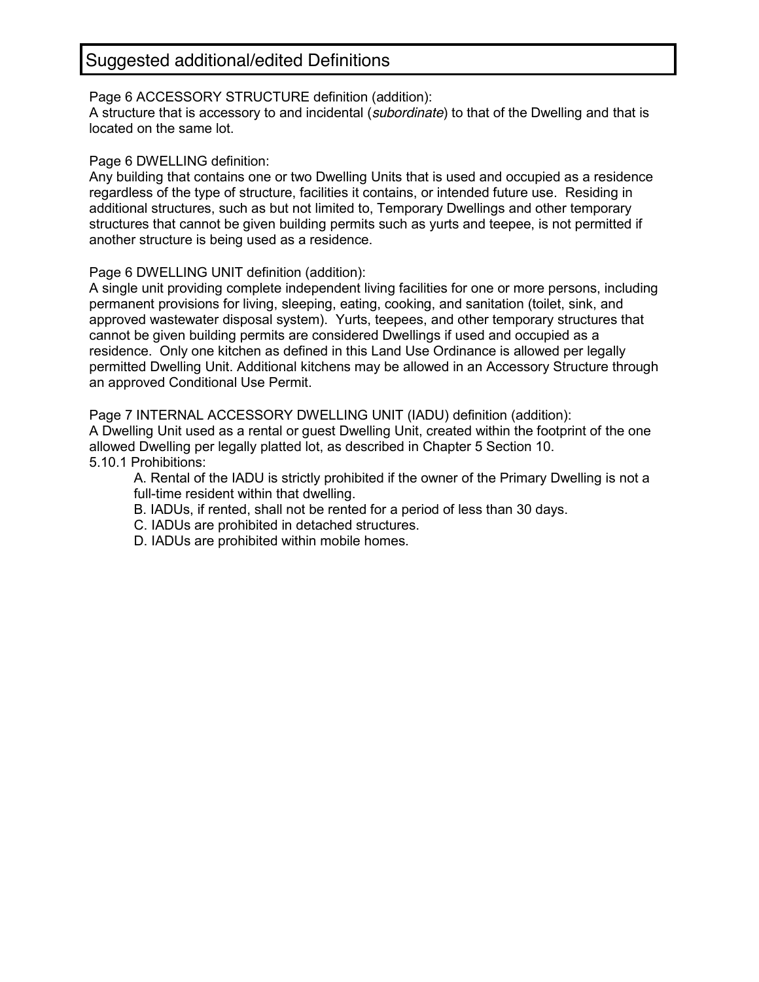Page 6 ACCESSORY STRUCTURE definition (addition):

A structure that is accessory to and incidental (*subordinate*) to that of the Dwelling and that is located on the same lot.

#### Page 6 DWELLING definition:

Any building that contains one or two Dwelling Units that is used and occupied as a residence regardless of the type of structure, facilities it contains, or intended future use. Residing in additional structures, such as but not limited to, Temporary Dwellings and other temporary structures that cannot be given building permits such as yurts and teepee, is not permitted if another structure is being used as a residence.

Page 6 DWELLING UNIT definition (addition):

A single unit providing complete independent living facilities for one or more persons, including permanent provisions for living, sleeping, eating, cooking, and sanitation (toilet, sink, and approved wastewater disposal system). Yurts, teepees, and other temporary structures that cannot be given building permits are considered Dwellings if used and occupied as a residence. Only one kitchen as defined in this Land Use Ordinance is allowed per legally permitted Dwelling Unit. Additional kitchens may be allowed in an Accessory Structure through an approved Conditional Use Permit.

Page 7 INTERNAL ACCESSORY DWELLING UNIT (IADU) definition (addition): A Dwelling Unit used as a rental or guest Dwelling Unit, created within the footprint of the one allowed Dwelling per legally platted lot, as described in Chapter 5 Section 10. 5.10.1 Prohibitions:

A. Rental of the IADU is strictly prohibited if the owner of the Primary Dwelling is not a full-time resident within that dwelling.

- B. IADUs, if rented, shall not be rented for a period of less than 30 days.
- C. IADUs are prohibited in detached structures.
- D. IADUs are prohibited within mobile homes.